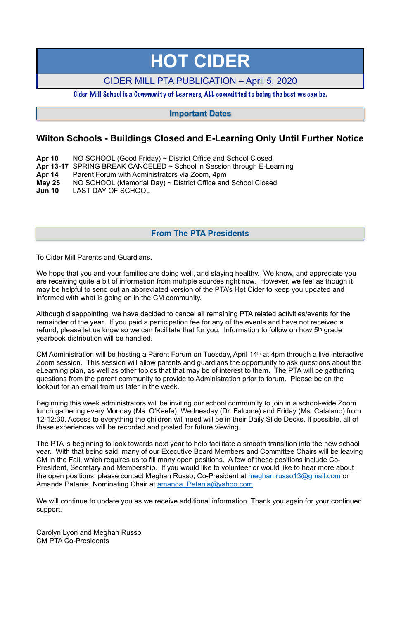# **Wilton Schools - Buildings Closed and E-Learning Only Until Further Notice**

- **Apr 10** NO SCHOOL (Good Friday) ~ District Office and School Closed
- **Apr 13-17** SPRING BREAK CANCELED ~ School in Session through E-Learning
- **Apr 14** Parent Forum with Administrators via Zoom, 4pm
- **May 25** NO SCHOOL (Memorial Day) ~ District Office and School Closed
- **Jun 10** LAST DAY OF SCHOOL

We hope that you and your families are doing well, and staying healthy. We know, and appreciate you are receiving quite a bit of information from multiple sources right now. However, we feel as though it may be helpful to send out an abbreviated version of the PTA's Hot Cider to keep you updated and informed with what is going on in the CM community.

To Cider Mill Parents and Guardians,

Although disappointing, we have decided to cancel all remaining PTA related activities/events for the remainder of the year. If you paid a participation fee for any of the events and have not received a refund, please let us know so we can facilitate that for you. Information to follow on how 5th grade yearbook distribution will be handled.

We will continue to update you as we receive additional information. Thank you again for your continued support.

CM Administration will be hosting a Parent Forum on Tuesday, April 14th at 4pm through a live interactive Zoom session. This session will allow parents and guardians the opportunity to ask questions about the eLearning plan, as well as other topics that that may be of interest to them. The PTA will be gathering questions from the parent community to provide to Administration prior to forum. Please be on the lookout for an email from us later in the week.

Beginning this week administrators will be inviting our school community to join in a school-wide Zoom lunch gathering every Monday (Ms. O'Keefe), Wednesday (Dr. Falcone) and Friday (Ms. Catalano) from 12-12:30. Access to everything the children will need will be in their Daily Slide Decks. If possible, all of these experiences will be recorded and posted for future viewing.

The PTA is beginning to look towards next year to help facilitate a smooth transition into the new school year. With that being said, many of our Executive Board Members and Committee Chairs will be leaving CM in the Fall, which requires us to fill many open positions. A few of these positions include Co-President, Secretary and Membership. If you would like to volunteer or would like to hear more about the open positions, please contact Meghan Russo, Co-President at [meghan.russo13@gmail.com](mailto:meghan.russo13@gmail.com) or Amanda Patania, Nominating Chair at [amanda\\_Patania@yahoo.com](mailto:amanda_Patania@yahoo.com)

Carolyn Lyon and Meghan Russo CM PTA Co-Presidents

# **HOT CIDER**

CIDER MILL PTA PUBLICATION – April 5, 2020

Cider Mill School is a Community of Learners, ALL committed to being the best we can be.

# **From The PTA Presidents**

# **Important Dates**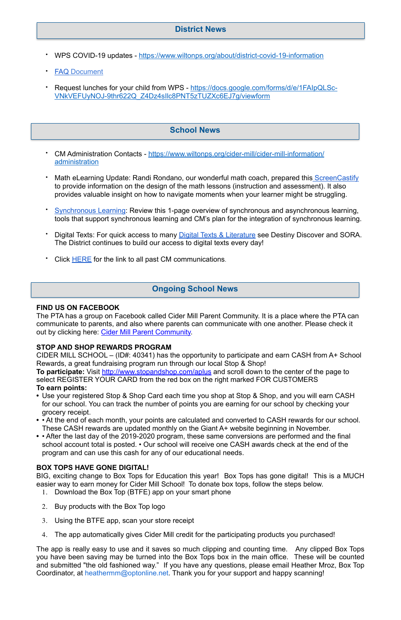- WPS COVID-19 updates -<https://www.wiltonps.org/about/district-covid-19-information>
- **[FAQ](https://www.wiltonps.org/about/district-covid-19-information/wps-covid-19-faqs-clone) Document**
- Request lunches for your child from WPS - [https://docs.google.com/forms/d/e/1FAIpQLSc-](https://docs.google.com/forms/d/e/1FAIpQLSc-VNkVEFUyNOJ-9thr622Q_Z4Dz4sIlc8PNT5zTUZXc6EJ7g/viewform)[VNkVEFUyNOJ-9thr622Q\\_Z4Dz4sIlc8PNT5zTUZXc6EJ7g/viewform](https://docs.google.com/forms/d/e/1FAIpQLSc-VNkVEFUyNOJ-9thr622Q_Z4Dz4sIlc8PNT5zTUZXc6EJ7g/viewform)

- CM Administration Contacts - [https://www.wiltonps.org/cider-mill/cider-mill-information/](https://www.wiltonps.org/cider-mill/cider-mill-information/administration) [administration](https://www.wiltonps.org/cider-mill/cider-mill-information/administration)
- Math eLearning Update: Randi Rondano, our wonderful math coach, prepared this [ScreenCastify](https://drive.google.com/file/d/16e1SGSmOedlCWW44ZeywbrczKWWz-R66/view?usp=sharing) to provide information on the design of the math lessons (instruction and assessment). It also provides valuable insight on how to navigate moments when your learner might be struggling.
- **Example 10 [Synchronous Learning](https://docs.google.com/document/d/1bTP5uVO20Zg7M6W44iWt-QnbbCa1e3_zRGHqq-USUh8/edit?usp=sharing): Review this 1-page overview of synchronous and asynchronous learning,** tools that support synchronous learning and CM's plan for the integration of synchronous learning.
- Digital Texts: For quick access to many [Digital Texts & Literature](https://sites.google.com/wiltonps.org/planningforelearning/cider-mill?authuser=0) see Destiny Discover and SORA. The District continues to build our access to digital texts every day!
- Click **HERE** for the link to all past CM communications.

The PTA has a group on Facebook called Cider Mill Parent Community. It is a place where the PTA can communicate to parents, and also where parents can communicate with one another. Please check it out by clicking here: [Cider Mill Parent Community.](https://www.facebook.com/groups/1168962513117647/)

#### **FIND US ON FACEBOOK**

### **STOP AND SHOP REWARDS PROGRAM**

The app is really easy to use and it saves so much clipping and counting time. Any clipped Box Tops you have been saving may be turned into the Box Tops box in the main office. These will be counted and submitted "the old fashioned way." If you have any questions, please email Heather Mroz, Box Top Coordinator, at [heathermm@optonline.net.](mailto:heathermm@optonline.net) Thank you for your support and happy scanning!

CIDER MILL SCHOOL – (ID#: 40341) has the opportunity to participate and earn CASH from A+ School Rewards, a great fundraising program run through our local Stop & Shop!

**To participate:** Visit<http://www.stopandshop.com/aplus>and scroll down to the center of the page to select REGISTER YOUR CARD from the red box on the right marked FOR CUSTOMERS **To earn points:**

- **•** Use your registered Stop & Shop Card each time you shop at Stop & Shop, and you will earn CASH for our school. You can track the number of points you are earning for our school by checking your grocery receipt.
- **•** At the end of each month, your points are calculated and converted to CASH rewards for our school. These CASH rewards are updated monthly on the Giant A+ website beginning in November.
- **•** After the last day of the 2019-2020 program, these same conversions are performed and the final school account total is posted. • Our school will receive one CASH awards check at the end of the program and can use this cash for any of our educational needs.

#### **BOX TOPS HAVE GONE DIGITAL!**

BIG, exciting change to Box Tops for Education this year! Box Tops has gone digital! This is a MUCH easier way to earn money for Cider Mill School! To donate box tops, follow the steps below.

- 1. Download the Box Top (BTFE) app on your smart phone
- 2. Buy products with the Box Top logo
- 3. Using the BTFE app, scan your store receipt
- 4. The app automatically gives Cider Mill credit for the participating products you purchased!

# **Ongoing School News**

# **School News**

# **District News**